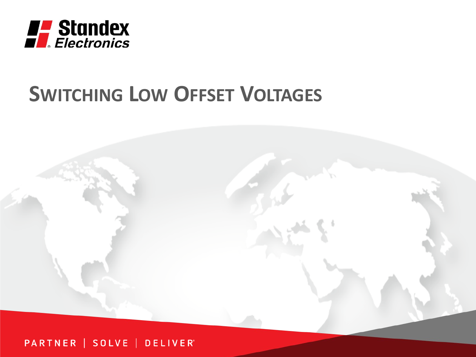

# **SWITCHING LOW OFFSET VOLTAGES**



#### PARTNER | SOLVE | DELIVER®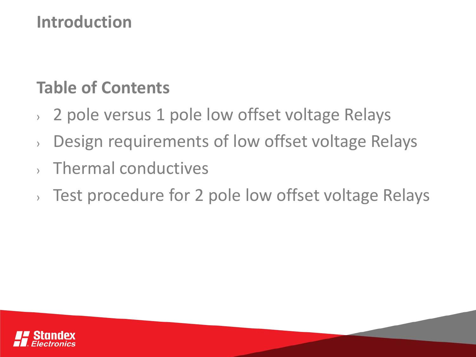#### **Introduction**

## **Table of Contents**

- › 2 pole versus 1 pole low offset voltage Relays
- › Design requirements of low offset voltage Relays
- › Thermal conductives
- › Test procedure for 2 pole low offset voltage Relays

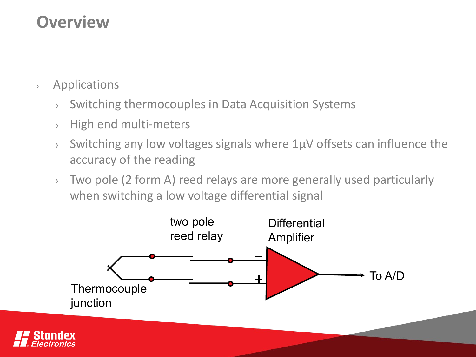#### **Overview**

- › Applications
	- › Switching thermocouples in Data Acquisition Systems
	- › High end multi-meters
	- $\rightarrow$  Switching any low voltages signals where 1 $\mu$ V offsets can influence the accuracy of the reading
	- › Two pole (2 form A) reed relays are more generally used particularly when switching a low voltage differential signal

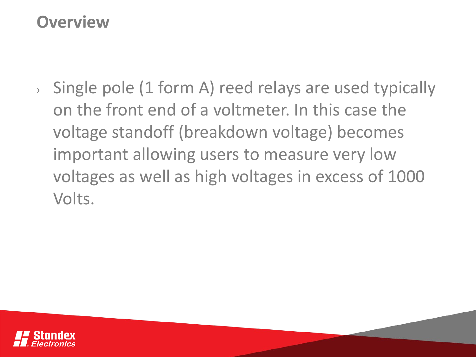#### **Overview**

› Single pole (1 form A) reed relays are used typically on the front end of a voltmeter. In this case the voltage standoff (breakdown voltage) becomes important allowing users to measure very low voltages as well as high voltages in excess of 1000 Volts.

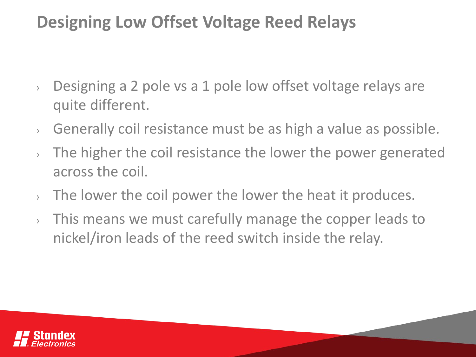- › Designing a 2 pole vs a 1 pole low offset voltage relays are quite different.
- › Generally coil resistance must be as high a value as possible.
- › The higher the coil resistance the lower the power generated across the coil.
- $\lambda$  The lower the coil power the lower the heat it produces.
- › This means we must carefully manage the copper leads to nickel/iron leads of the reed switch inside the relay.

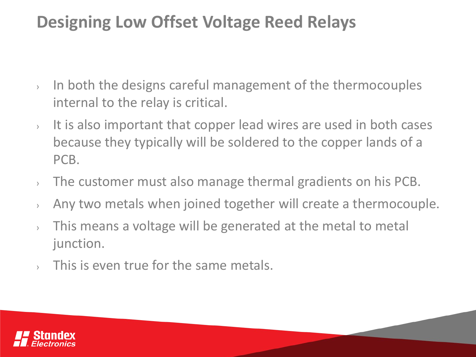- › In both the designs careful management of the thermocouples internal to the relay is critical.
- $\rightarrow$  It is also important that copper lead wires are used in both cases because they typically will be soldered to the copper lands of a PCB.
- › The customer must also manage thermal gradients on his PCB.
- › Any two metals when joined together will create a thermocouple.
- › This means a voltage will be generated at the metal to metal junction.
- $\sim$  This is even true for the same metals.

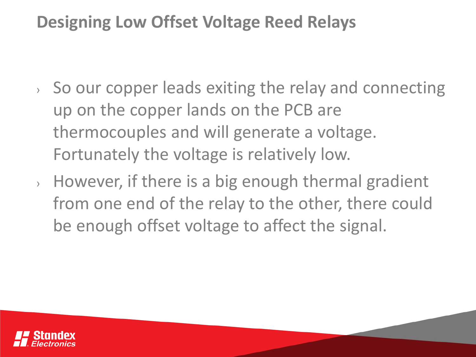- › So our copper leads exiting the relay and connecting up on the copper lands on the PCB are thermocouples and will generate a voltage. Fortunately the voltage is relatively low.
- › However, if there is a big enough thermal gradient from one end of the relay to the other, there could be enough offset voltage to affect the signal.

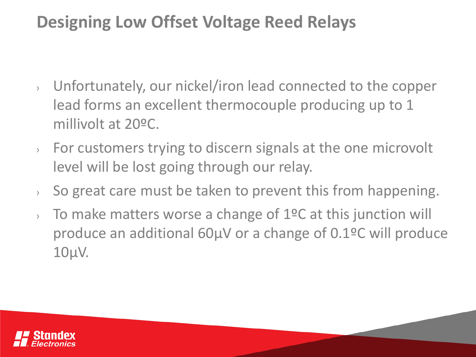- › Unfortunately, our nickel/iron lead connected to the copper lead forms an excellent thermocouple producing up to 1 millivolt at 20ºC.
- › For customers trying to discern signals at the one microvolt level will be lost going through our relay.
- $\rightarrow$  So great care must be taken to prevent this from happening.
- $\lambda$  To make matters worse a change of 1°C at this junction will produce an additional 60µV or a change of 0.1ºC will produce 10µV.

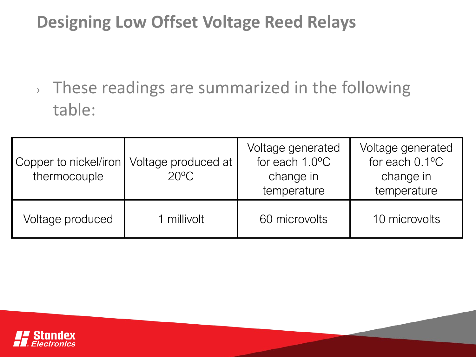› These readings are summarized in the following table:

| Copper to nickel/iron<br>thermocouple | Voltage produced at<br>$20^{\circ}$ C | Voltage generated<br>for each 1.0°C<br>change in<br>temperature | Voltage generated<br>for each $0.1$ <sup>o</sup> C<br>change in<br>temperature |
|---------------------------------------|---------------------------------------|-----------------------------------------------------------------|--------------------------------------------------------------------------------|
| Voltage produced                      | 1 millivolt                           | 60 microvolts                                                   | 10 microvolts                                                                  |

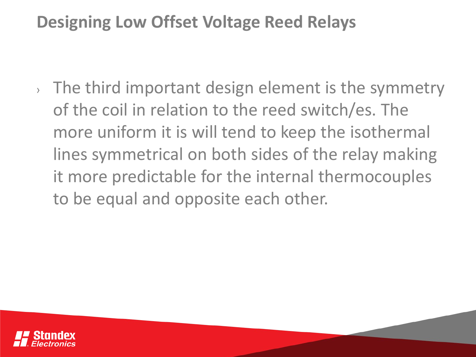› The third important design element is the symmetry of the coil in relation to the reed switch/es. The more uniform it is will tend to keep the isothermal lines symmetrical on both sides of the relay making it more predictable for the internal thermocouples to be equal and opposite each other.

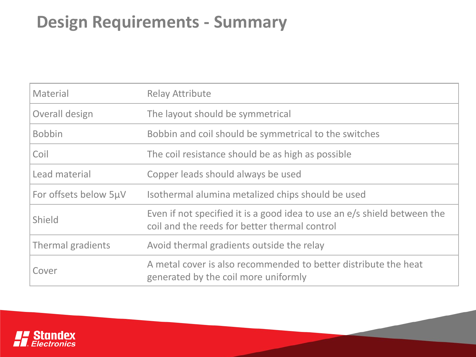## **Design Requirements - Summary**

| Material              | <b>Relay Attribute</b>                                                                                                    |  |
|-----------------------|---------------------------------------------------------------------------------------------------------------------------|--|
| Overall design        | The layout should be symmetrical                                                                                          |  |
| <b>Bobbin</b>         | Bobbin and coil should be symmetrical to the switches                                                                     |  |
| Coil                  | The coil resistance should be as high as possible                                                                         |  |
| Lead material         | Copper leads should always be used                                                                                        |  |
| For offsets below 5µV | Isothermal alumina metalized chips should be used                                                                         |  |
| Shield                | Even if not specified it is a good idea to use an e/s shield between the<br>coil and the reeds for better thermal control |  |
| Thermal gradients     | Avoid thermal gradients outside the relay                                                                                 |  |
| Cover                 | A metal cover is also recommended to better distribute the heat<br>generated by the coil more uniformly                   |  |

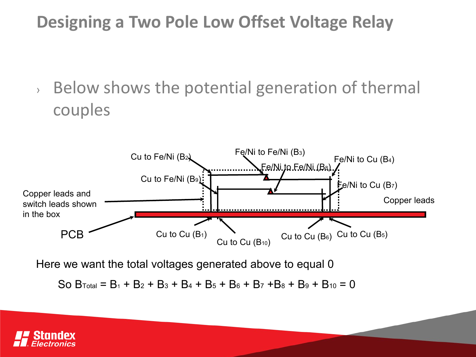› Below shows the potential generation of thermal couples



Here we want the total voltages generated above to equal 0

So  $B_{Total} = B_1 + B_2 + B_3 + B_4 + B_5 + B_6 + B_7 + B_8 + B_9 + B_{10} = 0$ 

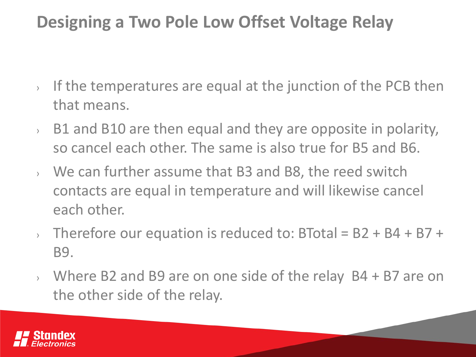- $\rightarrow$  If the temperatures are equal at the junction of the PCB then that means.
- $\rightarrow$  B1 and B10 are then equal and they are opposite in polarity, so cancel each other. The same is also true for B5 and B6.
- › We can further assume that B3 and B8, the reed switch contacts are equal in temperature and will likewise cancel each other.
- $\rightarrow$  Therefore our equation is reduced to: BTotal = B2 + B4 + B7 + B9.
- › Where B2 and B9 are on one side of the relay B4 + B7 are on the other side of the relay.

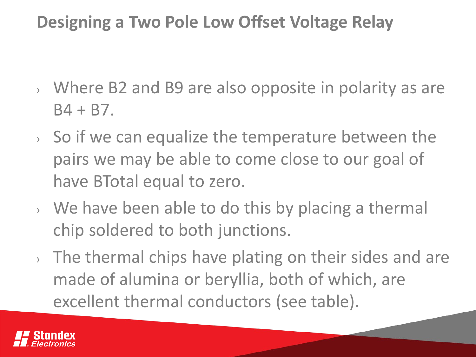- › Where B2 and B9 are also opposite in polarity as are  $B4 + B7$ .
- › So if we can equalize the temperature between the pairs we may be able to come close to our goal of have BTotal equal to zero.
- › We have been able to do this by placing a thermal chip soldered to both junctions.
- › The thermal chips have plating on their sides and are made of alumina or beryllia, both of which, are excellent thermal conductors (see table).

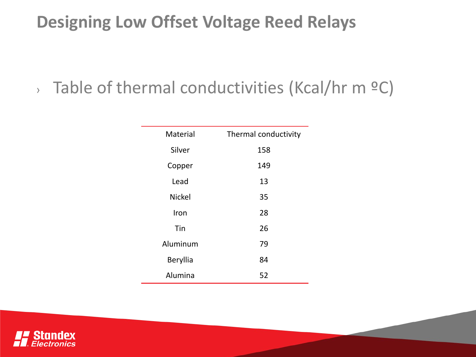## $\rightarrow$  Table of thermal conductivities (Kcal/hr m  $\circ$ C)

| Material      | Thermal conductivity |
|---------------|----------------------|
| Silver        | 158                  |
| Copper        | 149                  |
| Lead          | 13                   |
| <b>Nickel</b> | 35                   |
| Iron          | 28                   |
| Tin           | 26                   |
| Aluminum      | 79                   |
| Beryllia      | 84                   |
| Alumina       | 52                   |

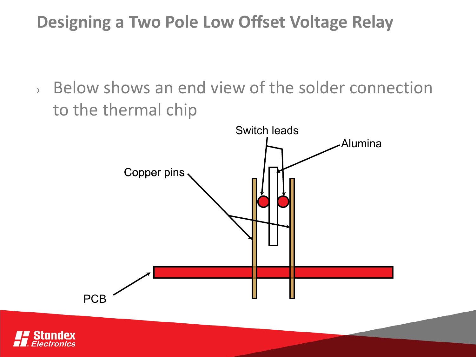› Below shows an end view of the solder connection to the thermal chip



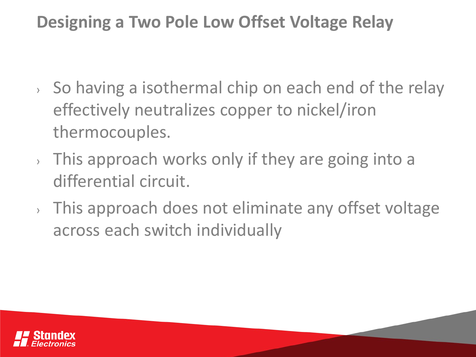- › So having a isothermal chip on each end of the relay effectively neutralizes copper to nickel/iron thermocouples.
- › This approach works only if they are going into a differential circuit.
- › This approach does not eliminate any offset voltage across each switch individually

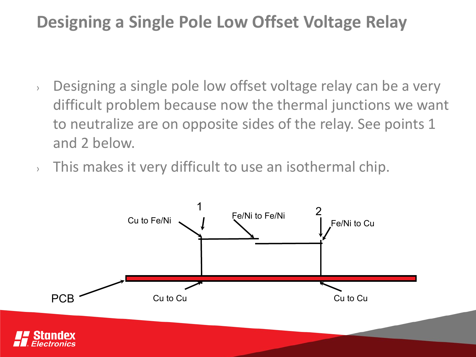- › Designing a single pole low offset voltage relay can be a very difficult problem because now the thermal junctions we want to neutralize are on opposite sides of the relay. See points 1 and 2 below.
- $\rightarrow$  This makes it very difficult to use an isothermal chip.

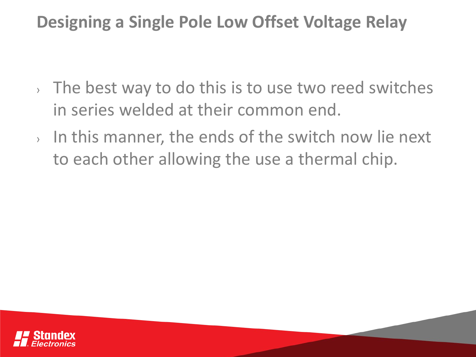- $\rightarrow$  The best way to do this is to use two reed switches in series welded at their common end.
- › In this manner, the ends of the switch now lie next to each other allowing the use a thermal chip.

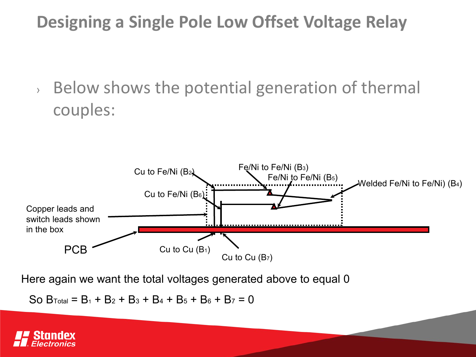› Below shows the potential generation of thermal couples:



Here again we want the total voltages generated above to equal 0

So  $B_{Total} = B_1 + B_2 + B_3 + B_4 + B_5 + B_6 + B_7 = 0$ 

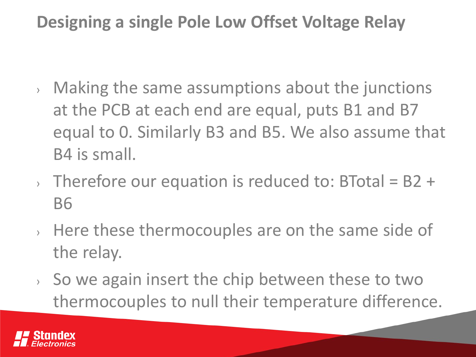- › Making the same assumptions about the junctions at the PCB at each end are equal, puts B1 and B7 equal to 0. Similarly B3 and B5. We also assume that B4 is small.
- $\rightarrow$  Therefore our equation is reduced to: BTotal = B2 + B6
- › Here these thermocouples are on the same side of the relay.
- › So we again insert the chip between these to two thermocouples to null their temperature difference.

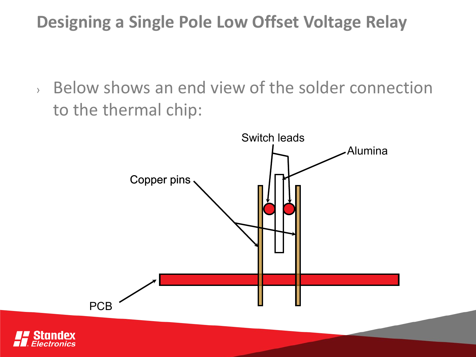› Below shows an end view of the solder connection to the thermal chip:

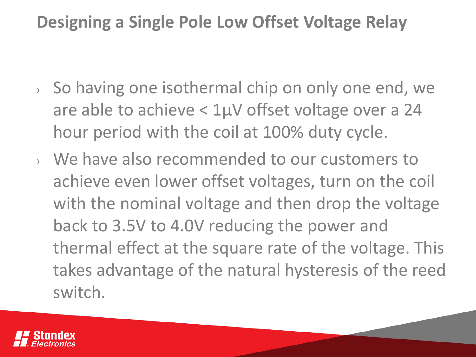- › So having one isothermal chip on only one end, we are able to achieve < 1µV offset voltage over a 24 hour period with the coil at 100% duty cycle.
- › We have also recommended to our customers to achieve even lower offset voltages, turn on the coil with the nominal voltage and then drop the voltage back to 3.5V to 4.0V reducing the power and thermal effect at the square rate of the voltage. This takes advantage of the natural hysteresis of the reed switch.

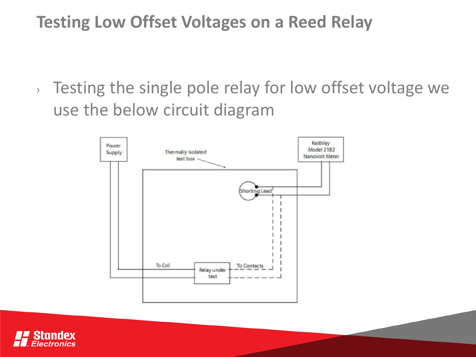## **Testing Low Offset Voltages on a Reed Relay**

› Testing the single pole relay for low offset voltage we use the below circuit diagram



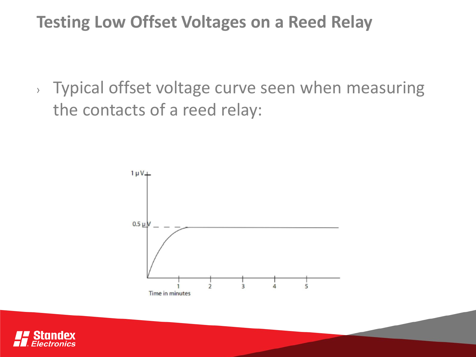#### **Testing Low Offset Voltages on a Reed Relay**

› Typical offset voltage curve seen when measuring the contacts of a reed relay:



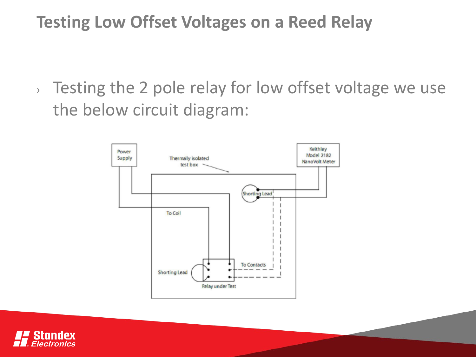## **Testing Low Offset Voltages on a Reed Relay**

› Testing the 2 pole relay for low offset voltage we use the below circuit diagram:



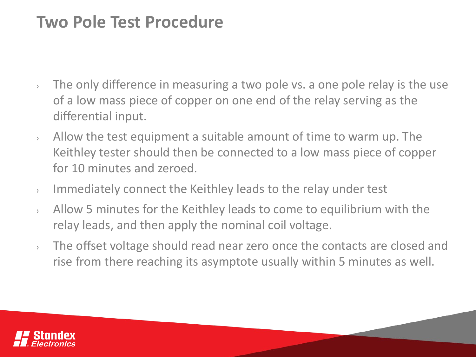#### **Two Pole Test Procedure**

- $\rightarrow$  The only difference in measuring a two pole vs. a one pole relay is the use of a low mass piece of copper on one end of the relay serving as the differential input.
- $\lambda$  Allow the test equipment a suitable amount of time to warm up. The Keithley tester should then be connected to a low mass piece of copper for 10 minutes and zeroed.
- › Immediately connect the Keithley leads to the relay under test
- $\rightarrow$  Allow 5 minutes for the Keithley leads to come to equilibrium with the relay leads, and then apply the nominal coil voltage.
- › The offset voltage should read near zero once the contacts are closed and rise from there reaching its asymptote usually within 5 minutes as well.